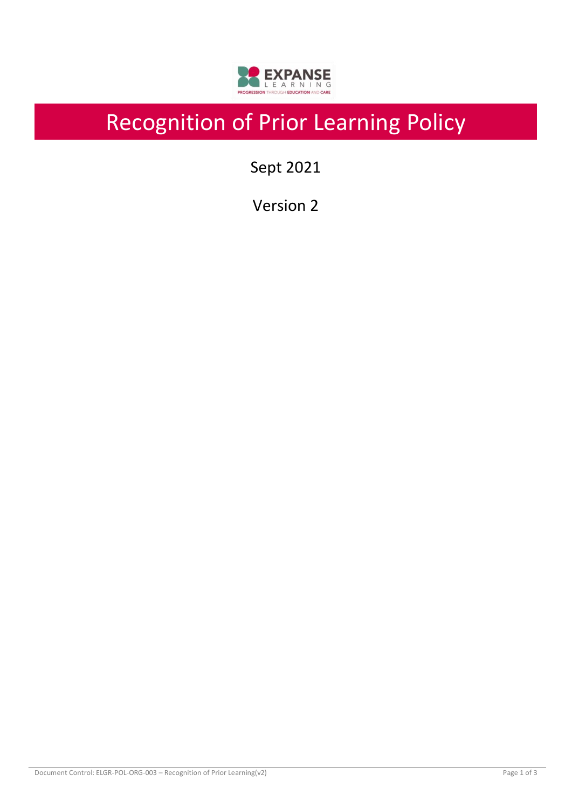

# Recognition of Prior Learning Policy

Sept 2021

Version 2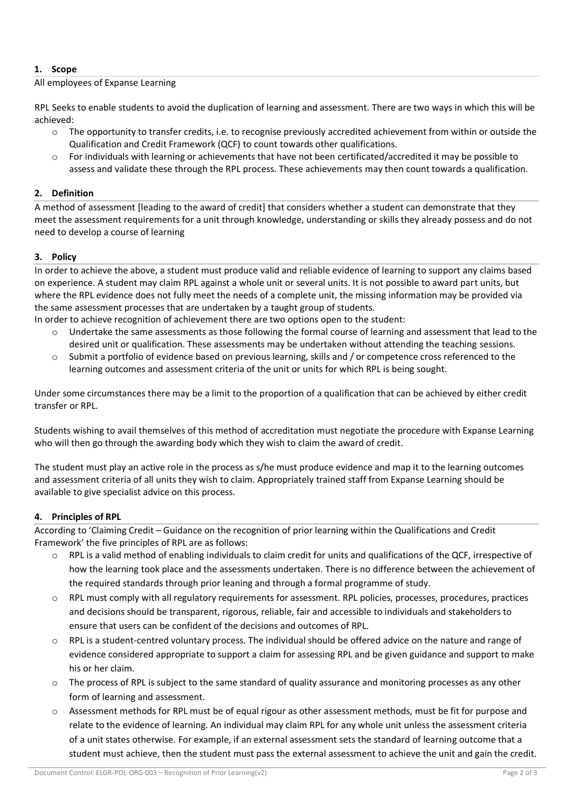# **1. Scope**

# All employees of Expanse Learning

RPL Seeks to enable students to avoid the duplication of learning and assessment. There are two ways in which this will be achieved:

- $\circ$  The opportunity to transfer credits, i.e. to recognise previously accredited achievement from within or outside the Qualification and Credit Framework (QCF) to count towards other qualifications.
- $\circ$  For individuals with learning or achievements that have not been certificated/accredited it may be possible to assess and validate these through the RPL process. These achievements may then count towards a qualification.

## **2. Definition**

A method of assessment [leading to the award of credit] that considers whether a student can demonstrate that they meet the assessment requirements for a unit through knowledge, understanding or skills they already possess and do not need to develop a course of learning

#### **3. Policy**

In order to achieve the above, a student must produce valid and reliable evidence of learning to support any claims based on experience. A student may claim RPL against a whole unit or several units. It is not possible to award part units, but where the RPL evidence does not fully meet the needs of a complete unit, the missing information may be provided via the same assessment processes that are undertaken by a taught group of students.

In order to achieve recognition of achievement there are two options open to the student:

- Undertake the same assessments as those following the formal course of learning and assessment that lead to the desired unit or qualification. These assessments may be undertaken without attending the teaching sessions.
- o Submit a portfolio of evidence based on previous learning, skills and / or competence cross referenced to the learning outcomes and assessment criteria of the unit or units for which RPL is being sought.

Under some circumstances there may be a limit to the proportion of a qualification that can be achieved by either credit transfer or RPL.

Students wishing to avail themselves of this method of accreditation must negotiate the procedure with Expanse Learning who will then go through the awarding body which they wish to claim the award of credit.

The student must play an active role in the process as s/he must produce evidence and map it to the learning outcomes and assessment criteria of all units they wish to claim. Appropriately trained staff from Expanse Learning should be available to give specialist advice on this process.

# **4. Principles of RPL**

According to 'Claiming Credit – Guidance on the recognition of prior learning within the Qualifications and Credit Framework' the five principles of RPL are as follows:

- RPL is a valid method of enabling individuals to claim credit for units and qualifications of the QCF, irrespective of how the learning took place and the assessments undertaken. There is no difference between the achievement of the required standards through prior leaning and through a formal programme of study.
- RPL must comply with all regulatory requirements for assessment. RPL policies, processes, procedures, practices and decisions should be transparent, rigorous, reliable, fair and accessible to individuals and stakeholders to ensure that users can be confident of the decisions and outcomes of RPL.
- $\circ$  RPL is a student-centred voluntary process. The individual should be offered advice on the nature and range of evidence considered appropriate to support a claim for assessing RPL and be given guidance and support to make his or her claim.
- o The process of RPL is subject to the same standard of quality assurance and monitoring processes as any other form of learning and assessment.
- o Assessment methods for RPL must be of equal rigour as other assessment methods, must be fit for purpose and relate to the evidence of learning. An individual may claim RPL for any whole unit unless the assessment criteria of a unit states otherwise. For example, if an external assessment sets the standard of learning outcome that a student must achieve, then the student must pass the external assessment to achieve the unit and gain the credit.